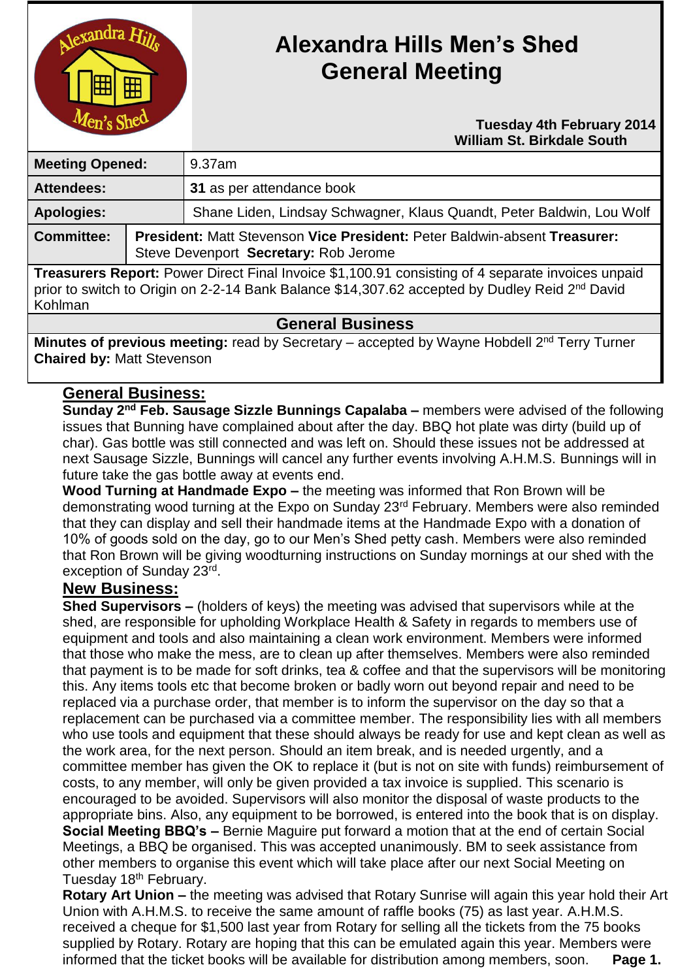

# **Alexandra Hills Men's Shed General Meeting**

#### **Tuesday 4th February 2014 William St. Birkdale South**

| <b>Meeting Opened:</b>                                                                                                                                                                                                     |  | 9.37am                                                                                                                    |  |
|----------------------------------------------------------------------------------------------------------------------------------------------------------------------------------------------------------------------------|--|---------------------------------------------------------------------------------------------------------------------------|--|
| <b>Attendees:</b>                                                                                                                                                                                                          |  | 31 as per attendance book                                                                                                 |  |
| <b>Apologies:</b>                                                                                                                                                                                                          |  | Shane Liden, Lindsay Schwagner, Klaus Quandt, Peter Baldwin, Lou Wolf                                                     |  |
| <b>Committee:</b>                                                                                                                                                                                                          |  | <b>President: Matt Stevenson Vice President: Peter Baldwin-absent Treasurer:</b><br>Steve Devenport Secretary: Rob Jerome |  |
| Treasurers Report: Power Direct Final Invoice \$1,100.91 consisting of 4 separate invoices unpaid<br>prior to switch to Origin on 2-2-14 Bank Balance \$14,307.62 accepted by Dudley Reid 2 <sup>nd</sup> David<br>Kohlman |  |                                                                                                                           |  |

## **General Business**

**Minutes of previous meeting:** read by Secretary – accepted by Wayne Hobdell 2<sup>nd</sup> Terry Turner **Chaired by:** Matt Stevenson

### **General Business:**

**Sunday 2nd Feb. Sausage Sizzle Bunnings Capalaba –** members were advised of the following issues that Bunning have complained about after the day. BBQ hot plate was dirty (build up of char). Gas bottle was still connected and was left on. Should these issues not be addressed at next Sausage Sizzle, Bunnings will cancel any further events involving A.H.M.S. Bunnings will in future take the gas bottle away at events end.

**Wood Turning at Handmade Expo –** the meeting was informed that Ron Brown will be demonstrating wood turning at the Expo on Sunday 23rd February. Members were also reminded that they can display and sell their handmade items at the Handmade Expo with a donation of 10% of goods sold on the day, go to our Men's Shed petty cash. Members were also reminded that Ron Brown will be giving woodturning instructions on Sunday mornings at our shed with the exception of Sunday 23rd.

#### **New Business:**

**Shed Supervisors –** (holders of keys) the meeting was advised that supervisors while at the shed, are responsible for upholding Workplace Health & Safety in regards to members use of equipment and tools and also maintaining a clean work environment. Members were informed that those who make the mess, are to clean up after themselves. Members were also reminded that payment is to be made for soft drinks, tea & coffee and that the supervisors will be monitoring this. Any items tools etc that become broken or badly worn out beyond repair and need to be replaced via a purchase order, that member is to inform the supervisor on the day so that a replacement can be purchased via a committee member. The responsibility lies with all members who use tools and equipment that these should always be ready for use and kept clean as well as the work area, for the next person. Should an item break, and is needed urgently, and a committee member has given the OK to replace it (but is not on site with funds) reimbursement of costs, to any member, will only be given provided a tax invoice is supplied. This scenario is encouraged to be avoided. Supervisors will also monitor the disposal of waste products to the appropriate bins. Also, any equipment to be borrowed, is entered into the book that is on display. **Social Meeting BBQ's –** Bernie Maguire put forward a motion that at the end of certain Social Meetings, a BBQ be organised. This was accepted unanimously. BM to seek assistance from other members to organise this event which will take place after our next Social Meeting on Tuesday 18<sup>th</sup> February.

**Rotary Art Union –** the meeting was advised that Rotary Sunrise will again this year hold their Art Union with A.H.M.S. to receive the same amount of raffle books (75) as last year. A.H.M.S. received a cheque for \$1,500 last year from Rotary for selling all the tickets from the 75 books supplied by Rotary. Rotary are hoping that this can be emulated again this year. Members were informed that the ticket books will be available for distribution among members, soon. **Page 1.**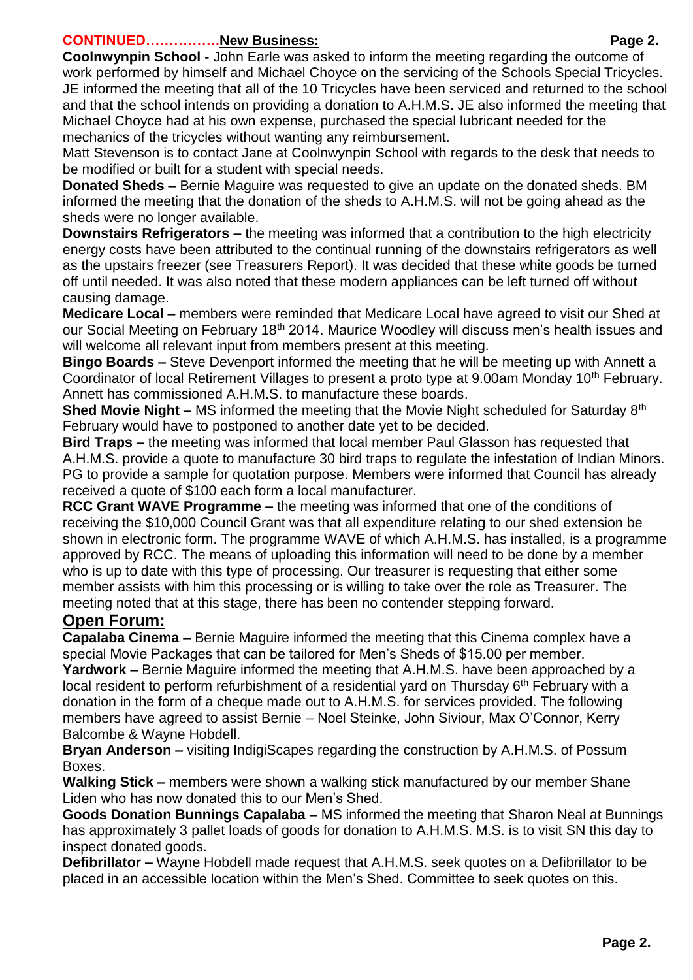#### **CONTINUED…………….New Business: Page 2.**

**Coolnwynpin School -** John Earle was asked to inform the meeting regarding the outcome of work performed by himself and Michael Choyce on the servicing of the Schools Special Tricycles. JE informed the meeting that all of the 10 Tricycles have been serviced and returned to the school and that the school intends on providing a donation to A.H.M.S. JE also informed the meeting that Michael Choyce had at his own expense, purchased the special lubricant needed for the mechanics of the tricycles without wanting any reimbursement.

Matt Stevenson is to contact Jane at Coolnwynpin School with regards to the desk that needs to be modified or built for a student with special needs.

**Donated Sheds –** Bernie Maguire was requested to give an update on the donated sheds. BM informed the meeting that the donation of the sheds to A.H.M.S. will not be going ahead as the sheds were no longer available.

**Downstairs Refrigerators –** the meeting was informed that a contribution to the high electricity energy costs have been attributed to the continual running of the downstairs refrigerators as well as the upstairs freezer (see Treasurers Report). It was decided that these white goods be turned off until needed. It was also noted that these modern appliances can be left turned off without causing damage.

**Medicare Local –** members were reminded that Medicare Local have agreed to visit our Shed at our Social Meeting on February 18<sup>th</sup> 2014. Maurice Woodley will discuss men's health issues and will welcome all relevant input from members present at this meeting.

**Bingo Boards –** Steve Devenport informed the meeting that he will be meeting up with Annett a Coordinator of local Retirement Villages to present a proto type at 9.00am Monday 10<sup>th</sup> February. Annett has commissioned A.H.M.S. to manufacture these boards.

**Shed Movie Night –** MS informed the meeting that the Movie Night scheduled for Saturday 8<sup>th</sup> February would have to postponed to another date yet to be decided.

**Bird Traps –** the meeting was informed that local member Paul Glasson has requested that A.H.M.S. provide a quote to manufacture 30 bird traps to regulate the infestation of Indian Minors. PG to provide a sample for quotation purpose. Members were informed that Council has already received a quote of \$100 each form a local manufacturer.

**RCC Grant WAVE Programme –** the meeting was informed that one of the conditions of receiving the \$10,000 Council Grant was that all expenditure relating to our shed extension be shown in electronic form. The programme WAVE of which A.H.M.S. has installed, is a programme approved by RCC. The means of uploading this information will need to be done by a member who is up to date with this type of processing. Our treasurer is requesting that either some member assists with him this processing or is willing to take over the role as Treasurer. The meeting noted that at this stage, there has been no contender stepping forward.

## **Open Forum:**

**Capalaba Cinema –** Bernie Maguire informed the meeting that this Cinema complex have a special Movie Packages that can be tailored for Men's Sheds of \$15.00 per member.

**Yardwork –** Bernie Maguire informed the meeting that A.H.M.S. have been approached by a local resident to perform refurbishment of a residential yard on Thursday 6<sup>th</sup> February with a donation in the form of a cheque made out to A.H.M.S. for services provided. The following members have agreed to assist Bernie – Noel Steinke, John Siviour, Max O'Connor, Kerry Balcombe & Wayne Hobdell.

**Bryan Anderson –** visiting IndigiScapes regarding the construction by A.H.M.S. of Possum Boxes.

**Walking Stick –** members were shown a walking stick manufactured by our member Shane Liden who has now donated this to our Men's Shed.

**Goods Donation Bunnings Capalaba –** MS informed the meeting that Sharon Neal at Bunnings has approximately 3 pallet loads of goods for donation to A.H.M.S. M.S. is to visit SN this day to inspect donated goods.

**Defibrillator –** Wayne Hobdell made request that A.H.M.S. seek quotes on a Defibrillator to be placed in an accessible location within the Men's Shed. Committee to seek quotes on this.